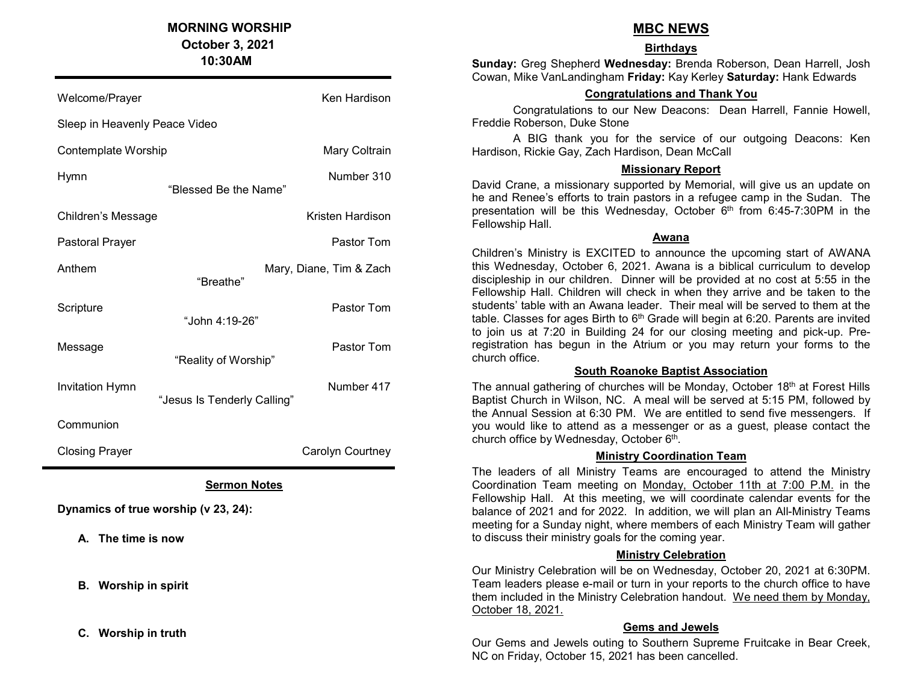## MORNING WORSHIP

 October 3, 2021 10:30AM

ı Welcome/Prayer Management Communication News Ken Hardison Sleep in Heavenly Peace Video Contemplate Worship Mary Coltrain Hymn Number 310 "Blessed Be the Name" Children's Message **Kristen Hardison** Pastoral Prayer **Pastor Tom** Anthem Mary, Diane, Tim & Zach "Breathe" Scripture **Pastor Tom**  "John 4:19-26" Message **Pastor Tommunity** Pastor Tommunity Pastor Tommunity Pastor Tommunity Pastor Tommunity Pastor Tommunity "Reality of Worship" Invitation Hymn **Number 417**  "Jesus Is Tenderly Calling" **Communion** Closing Prayer **Carolyn Carolyn Courtney** L

### Sermon Notes

Dynamics of true worship (v 23, 24):

A. The time is now

B. Worship in spirit

C. Worship in truth

## MBC NEWS

#### **Birthdays**

Sunday: Greg Shepherd Wednesday: Brenda Roberson, Dean Harrell, Josh Cowan, Mike VanLandingham Friday: Kay Kerley Saturday: Hank Edwards

### Congratulations and Thank You

Congratulations to our New Deacons: Dean Harrell, Fannie Howell, Freddie Roberson, Duke Stone

A BIG thank you for the service of our outgoing Deacons: Ken Hardison, Rickie Gay, Zach Hardison, Dean McCall

#### Missionary Report

David Crane, a missionary supported by Memorial, will give us an update on he and Renee's efforts to train pastors in a refugee camp in the Sudan. The presentation will be this Wednesday, October  $6<sup>th</sup>$  from 6:45-7:30PM in the Fellowship Hall.

#### Awana

Children's Ministry is EXCITED to announce the upcoming start of AWANA this Wednesday, October 6, 2021. Awana is a biblical curriculum to develop discipleship in our children. Dinner will be provided at no cost at 5:55 in the Fellowship Hall. Children will check in when they arrive and be taken to the students' table with an Awana leader. Their meal will be served to them at the table. Classes for ages Birth to  $6<sup>th</sup>$  Grade will begin at 6:20. Parents are invited to join us at 7:20 in Building 24 for our closing meeting and pick-up. Preregistration has begun in the Atrium or you may return your forms to the church office.

#### South Roanoke Baptist Association

The annual gathering of churches will be Monday, October 18<sup>th</sup> at Forest Hills Baptist Church in Wilson, NC. A meal will be served at 5:15 PM, followed by the Annual Session at 6:30 PM. We are entitled to send five messengers. If you would like to attend as a messenger or as a guest, please contact the church office by Wednesday, October 6<sup>th</sup>.

#### Ministry Coordination Team

The leaders of all Ministry Teams are encouraged to attend the Ministry Coordination Team meeting on Monday, October 11th at 7:00 P.M. in the Fellowship Hall. At this meeting, we will coordinate calendar events for the balance of 2021 and for 2022. In addition, we will plan an All-Ministry Teams meeting for a Sunday night, where members of each Ministry Team will gather to discuss their ministry goals for the coming year.

#### Ministry Celebration

Our Ministry Celebration will be on Wednesday, October 20, 2021 at 6:30PM. Team leaders please e-mail or turn in your reports to the church office to have them included in the Ministry Celebration handout. We need them by Monday, October 18, 2021.

#### Gems and Jewels

Our Gems and Jewels outing to Southern Supreme Fruitcake in Bear Creek, NC on Friday, October 15, 2021 has been cancelled.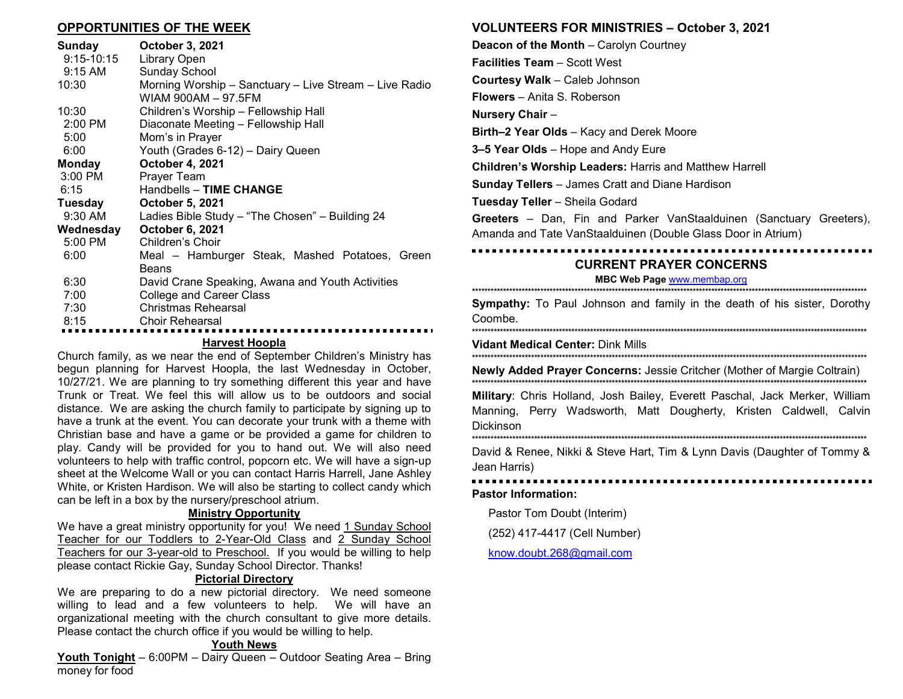#### OPPORTUNITIES OF THE WEEK

| Sunday                | <b>October 3, 2021</b>                                 |
|-----------------------|--------------------------------------------------------|
| 9:15-10:15<br>9:15 AM | Library Open<br><b>Sunday School</b>                   |
| 10:30                 | Morning Worship – Sanctuary – Live Stream – Live Radio |
|                       | WIAM 900AM - 97.5FM                                    |
| 10:30                 | Children's Worship - Fellowship Hall                   |
| $2:00$ PM             | Diaconate Meeting - Fellowship Hall                    |
| 5:00                  | Mom's in Prayer                                        |
| 6:00                  | Youth (Grades 6-12) - Dairy Queen                      |
| Monday                | <b>October 4, 2021</b>                                 |
| 3:00 PM               | Prayer Team                                            |
| 6:15                  | Handbells - TIME CHANGE                                |
| Tuesday               | <b>October 5, 2021</b>                                 |
| 9:30 AM               | Ladies Bible Study - "The Chosen" - Building 24        |
| Wednesday             | <b>October 6, 2021</b>                                 |
| 5:00 PM               | Children's Choir                                       |
| 6:00                  | Meal - Hamburger Steak, Mashed Potatoes, Green         |
|                       | Beans                                                  |
| 6:30                  | David Crane Speaking, Awana and Youth Activities       |
| 7:00                  | <b>College and Career Class</b>                        |
| 7:30                  | Christmas Rehearsal                                    |
| 8.15                  | Choir Rehearsal                                        |
|                       |                                                        |

### Harvest Hoopla

Church family, as we near the end of September Children's Ministry has begun planning for Harvest Hoopla, the last Wednesday in October, 10/27/21. We are planning to try something different this year and have Trunk or Treat. We feel this will allow us to be outdoors and social distance. We are asking the church family to participate by signing up to have a trunk at the event. You can decorate your trunk with a theme with Christian base and have a game or be provided a game for children to play. Candy will be provided for you to hand out. We will also need volunteers to help with traffic control, popcorn etc. We will have a sign-up sheet at the Welcome Wall or you can contact Harris Harrell, Jane Ashley White, or Kristen Hardison. We will also be starting to collect candy which can be left in a box by the nursery/preschool atrium.

#### Ministry Opportunity

We have a great ministry opportunity for you! We need 1 Sunday School Teacher for our Toddlers to 2-Year-Old Class and 2 Sunday School Teachers for our 3-year-old to Preschool. If you would be willing to help please contact Rickie Gay, Sunday School Director. Thanks!

#### Pictorial Directory

We are preparing to do a new pictorial directory. We need someone willing to lead and a few volunteers to help. We will have an organizational meeting with the church consultant to give more details. Please contact the church office if you would be willing to help.

#### Youth News

Youth Tonight – 6:00PM – Dairy Queen – Outdoor Seating Area – Bring money for food

#### VOLUNTEERS FOR MINISTRIES – October 3, 2021

Deacon of the Month – Carolyn Courtney Facilities Team – Scott West Courtesy Walk – Caleb Johnson Flowers – Anita S. Roberson Nursery Chair – Birth–2 Year Olds – Kacy and Derek Moore 3–5 Year Olds – Hope and Andy Eure Children's Worship Leaders: Harris and Matthew Harrell Sunday Tellers – James Cratt and Diane Hardison Tuesday Teller – Sheila Godard Greeters – Dan, Fin and Parker VanStaalduinen (Sanctuary Greeters), Amanda and Tate VanStaalduinen (Double Glass Door in Atrium)

## CURRENT PRAYER CONCERNS

#### MBC Web Page www.membap.org \*\*\*\*\*\*\*\*\*\*\*\*\*\*\*\*\*\*\*\*\*\*\*\*\*\*\*\*\*\*\*\*\*\*\*\*\*\*\*\*\*\*\*\*\*\*\*\*\*\*\*\*\*\*\*\*\*\*\*\*\*\*\*\*\*\*\*\*\*\*\*\*\*\*\*\*\*\*\*\*\*\*\*\*\*\*\*\*\*\*\*\*\*\*\*\*\*\*\*\*\*\*\*\*\*\*\*\*\*\*\*\*\*\*\*\*\*\*\*\*\*\*\*\*\*\*\*

**Sympathy:** To Paul Johnson and family in the death of his sister, Dorothy Coombe. \*\*\*\*\*\*\*\*\*\*\*\*\*\*\*\*\*\*\*\*\*\*\*\*\*\*\*\*\*\*\*\*\*\*\*\*\*\*\*\*\*\*\*\*\*\*\*\*\*\*\*\*\*\*\*\*\*\*\*\*\*\*\*\*\*\*\*\*\*\*\*\*\*\*\*\*\*\*\*\*\*\*\*\*\*\*\*\*\*\*\*\*\*\*\*\*\*\*\*\*\*\*\*\*\*\*\*\*\*\*\*\*\*\*\*\*\*\*\*\*\*\*\*\*\*\*\*

Vidant Medical Center: Dink Mills \*\*\*\*\*\*\*\*\*\*\*\*\*\*\*\*\*\*\*\*\*\*\*\*\*\*\*\*\*\*\*\*\*\*\*\*\*\*\*\*\*\*\*\*\*\*\*\*\*\*\*\*\*\*\*\*\*\*\*\*\*\*\*\*\*\*\*\*\*\*\*\*\*\*\*\*\*\*\*\*\*\*\*\*\*\*\*\*\*\*\*\*\*\*\*\*\*\*\*\*\*\*\*\*\*\*\*\*\*\*\*\*\*\*\*\*\*\*\*\*\*\*\*\*\*\*\*

Newly Added Prayer Concerns: Jessie Critcher (Mother of Margie Coltrain) \*\*\*\*\*\*\*\*\*\*\*\*\*\*\*\*\*\*\*\*\*\*\*\*\*\*\*\*\*\*\*\*\*\*\*\*\*\*\*\*\*\*\*\*\*\*\*\*\*\*\*\*\*\*\*\*\*\*\*\*\*\*\*\*\*\*\*\*\*\*\*\*\*\*\*\*\*\*\*\*\*\*\*\*\*\*\*\*\*\*\*\*\*\*\*\*\*\*\*\*\*\*\*\*\*\*\*\*\*\*\*\*\*\*\*\*\*\*\*\*\*\*\*\*\*\*\*

Military: Chris Holland, Josh Bailey, Everett Paschal, Jack Merker, William Manning, Perry Wadsworth, Matt Dougherty, Kristen Caldwell, Calvin Dickinson

\*\*\*\*\*\*\*\*\*\*\*\*\*\*\*\*\*\*\*\*\*\*\*\*\*\*\*\*\*\*\*\*\*\*\*\*\*\*\*\*\*\*\*\*\*\*\*\*\*\*\*\*\*\*\*\*\*\*\*\*\*\*\*\*\*\*\*\*\*\*\*\*\*\*\*\*\*\*\*\*\*\*\*\*\*\*\*\*\*\*\*\*\*\*\*\*\*\*\*\*\*\*\*\*\*\*\*\*\*\*\*\*\*\*\*\*\*\*\*\*\*\*\*\*\*\*\*

David & Renee, Nikki & Steve Hart, Tim & Lynn Davis (Daughter of Tommy & Jean Harris)

#### Pastor Information:

Pastor Tom Doubt (Interim)

(252) 417-4417 (Cell Number)

know.doubt.268@gmail.com